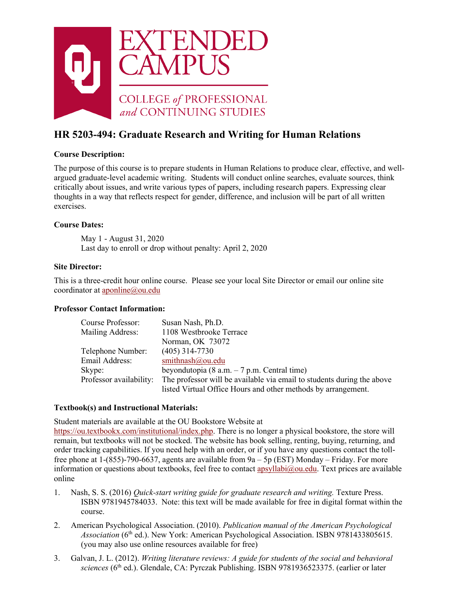

# **HR 5203-494: Graduate Research and Writing for Human Relations**

## **Course Description:**

The purpose of this course is to prepare students in Human Relations to produce clear, effective, and wellargued graduate-level academic writing. Students will conduct online searches, evaluate sources, think critically about issues, and write various types of papers, including research papers. Expressing clear thoughts in a way that reflects respect for gender, difference, and inclusion will be part of all written exercises.

## **Course Dates:**

May 1 - August 31, 2020 Last day to enroll or drop without penalty: April 2, 2020

## **Site Director:**

This is a three-credit hour online course. Please see your local Site Director or email our online site coordinator at [aponline@ou.edu](mailto:aponline@ou.edu)

## **Professor Contact Information:**

| Course Professor:       | Susan Nash, Ph.D.                                                      |
|-------------------------|------------------------------------------------------------------------|
| Mailing Address:        | 1108 Westbrooke Terrace                                                |
|                         | Norman, OK 73072                                                       |
| Telephone Number:       | $(405)$ 314-7730                                                       |
| Email Address:          | smithnash@ou.edu                                                       |
| Skype:                  | beyondutopia (8 a.m. $-7$ p.m. Central time)                           |
| Professor availability: | The professor will be available via email to students during the above |
|                         | listed Virtual Office Hours and other methods by arrangement.          |

# **Textbook(s) and Instructional Materials:**

Student materials are available at the OU Bookstore Website at [https://ou.textbookx.com/institutional/index.php.](https://ou.textbookx.com/institutional/index.php) There is no longer a physical bookstore, the store will remain, but textbooks will not be stocked. The website has book selling, renting, buying, returning, and order tracking capabilities. If you need help with an order, or if you have any questions contact the tollfree phone at  $1-(855)-790-6637$ , agents are available from  $9a - 5p$  (EST) Monday – Friday. For more information or questions about textbooks, feel free to contact apsyllabi $@$ ou.edu. Text prices are available online

- 1. Nash, S. S. (2016) *Quick-start writing guide for graduate research and writing.* Texture Press. ISBN 9781945784033. Note: this text will be made available for free in digital format within the course.
- 2. American Psychological Association. (2010). *Publication manual of the American Psychological Association* (6th ed.). New York: American Psychological Association. ISBN 9781433805615. (you may also use online resources available for free)
- 3. Galvan, J. L. (2012). *Writing literature reviews: A guide for students of the social and behavioral sciences* (6th ed.). Glendale, CA: Pyrczak Publishing. ISBN 9781936523375. (earlier or later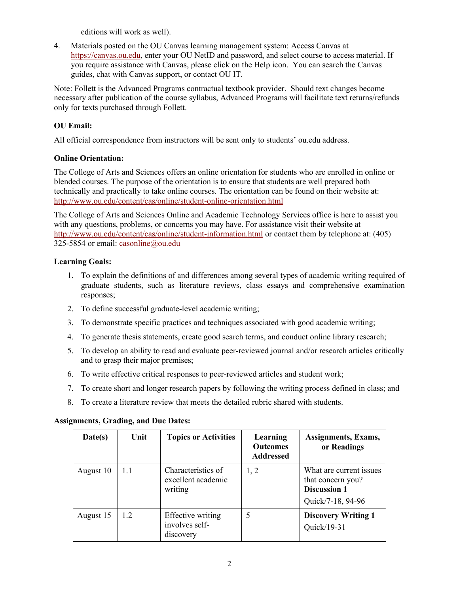editions will work as well).

4. Materials posted on the OU Canvas learning management system: Access Canvas at [https://canvas.ou.edu,](https://canvas.ou.edu/) enter your OU NetID and password, and select course to access material. If you require assistance with Canvas, please click on the Help icon. You can search the Canvas guides, chat with Canvas support, or contact OU IT.

Note: Follett is the Advanced Programs contractual textbook provider. Should text changes become necessary after publication of the course syllabus, Advanced Programs will facilitate text returns/refunds only for texts purchased through Follett.

# **OU Email:**

All official correspondence from instructors will be sent only to students' ou.edu address.

## **Online Orientation:**

The College of Arts and Sciences offers an online orientation for students who are enrolled in online or blended courses. The purpose of the orientation is to ensure that students are well prepared both technically and practically to take online courses. The orientation can be found on their website at: <http://www.ou.edu/content/cas/online/student-online-orientation.html>

The College of Arts and Sciences Online and Academic Technology Services office is here to assist you with any questions, problems, or concerns you may have. For assistance visit their website at <http://www.ou.edu/content/cas/online/student-information.html> or contact them by telephone at: (405) 325-5854 or email: [casonline@ou.edu](mailto:casonline@ou.edu)

# **Learning Goals:**

- 1. To explain the definitions of and differences among several types of academic writing required of graduate students, such as literature reviews, class essays and comprehensive examination responses;
- 2. To define successful graduate-level academic writing;
- 3. To demonstrate specific practices and techniques associated with good academic writing;
- 4. To generate thesis statements, create good search terms, and conduct online library research;
- 5. To develop an ability to read and evaluate peer-reviewed journal and/or research articles critically and to grasp their major premises;
- 6. To write effective critical responses to peer-reviewed articles and student work;
- 7. To create short and longer research papers by following the writing process defined in class; and
- 8. To create a literature review that meets the detailed rubric shared with students.

## **Assignments, Grading, and Due Dates:**

| Date(s)   | Unit | <b>Topics or Activities</b>                         | Learning<br><b>Outcomes</b><br><b>Addressed</b> | Assignments, Exams,<br>or Readings                                                       |
|-----------|------|-----------------------------------------------------|-------------------------------------------------|------------------------------------------------------------------------------------------|
| August 10 | 1.1  | Characteristics of<br>excellent academic<br>writing | 1, 2                                            | What are current issues<br>that concern you?<br><b>Discussion 1</b><br>Quick/7-18, 94-96 |
| August 15 | 1.2  | Effective writing<br>involves self-<br>discovery    | 5                                               | <b>Discovery Writing 1</b><br>Quick/19-31                                                |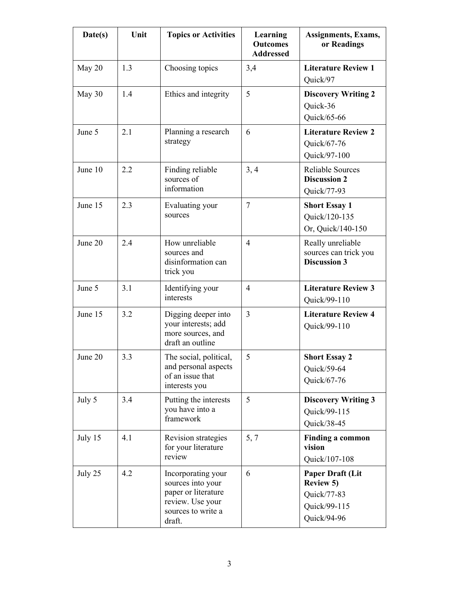| Date(s) | Unit | <b>Topics or Activities</b>                                                                                        | Learning<br><b>Outcomes</b><br><b>Addressed</b> | <b>Assignments, Exams,</b><br>or Readings                                          |
|---------|------|--------------------------------------------------------------------------------------------------------------------|-------------------------------------------------|------------------------------------------------------------------------------------|
| May 20  | 1.3  | 3,4<br>Choosing topics                                                                                             |                                                 | <b>Literature Review 1</b><br>Quick/97                                             |
| May 30  | 1.4  | Ethics and integrity                                                                                               | 5                                               | <b>Discovery Writing 2</b><br>Quick-36<br>Quick/65-66                              |
| June 5  | 2.1  | Planning a research<br>6<br>strategy                                                                               |                                                 | <b>Literature Review 2</b><br>Quick/67-76<br>Quick/97-100                          |
| June 10 | 2.2  | Finding reliable<br>sources of<br>information                                                                      | 3, 4                                            | <b>Reliable Sources</b><br><b>Discussion 2</b><br>Quick/77-93                      |
| June 15 | 2.3  | Evaluating your<br>sources                                                                                         | $\overline{7}$                                  | <b>Short Essay 1</b><br>Quick/120-135<br>Or, Quick/140-150                         |
| June 20 | 2.4  | How unreliable<br>sources and<br>disinformation can<br>trick you                                                   | $\overline{4}$                                  | Really unreliable<br>sources can trick you<br><b>Discussion 3</b>                  |
| June 5  | 3.1  | Identifying your<br>interests                                                                                      | $\overline{4}$                                  | <b>Literature Review 3</b><br>Quick/99-110                                         |
| June 15 | 3.2  | Digging deeper into<br>your interests; add<br>more sources, and<br>draft an outline                                | $\overline{3}$                                  | <b>Literature Review 4</b><br>Quick/99-110                                         |
| June 20 | 3.3  | The social, political,<br>and personal aspects<br>of an issue that<br>interests you                                | 5                                               | <b>Short Essay 2</b><br>Quick/59-64<br>Quick/67-76                                 |
| July 5  | 3.4  | Putting the interests<br>you have into a<br>framework                                                              | 5                                               | <b>Discovery Writing 3</b><br>Quick/99-115<br>Quick/38-45                          |
| July 15 | 4.1  | Revision strategies<br>for your literature<br>review                                                               | 5, 7                                            | <b>Finding a common</b><br>vision<br>Quick/107-108                                 |
| July 25 | 4.2  | Incorporating your<br>sources into your<br>paper or literature<br>review. Use your<br>sources to write a<br>draft. | 6                                               | Paper Draft (Lit<br><b>Review 5)</b><br>Quick/77-83<br>Quick/99-115<br>Quick/94-96 |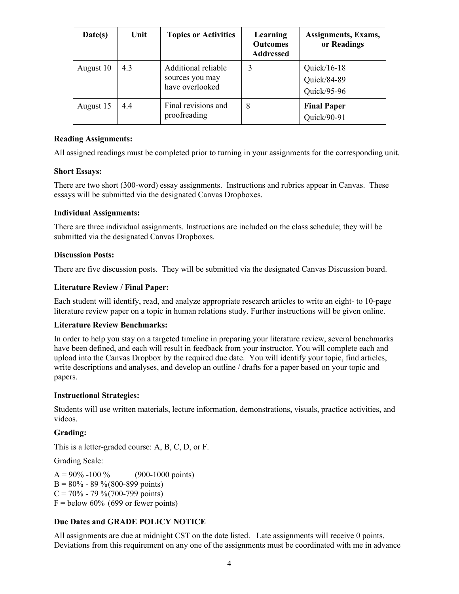| Date(s)   | Unit | <b>Topics or Activities</b>                               | Learning<br><b>Outcomes</b><br><b>Addressed</b> | Assignments, Exams,<br>or Readings           |
|-----------|------|-----------------------------------------------------------|-------------------------------------------------|----------------------------------------------|
| August 10 | 4.3  | Additional reliable<br>sources you may<br>have overlooked | 3                                               | Quick/ $16-18$<br>Quick/84-89<br>Quick/95-96 |
| August 15 | 4.4  | Final revisions and<br>proofreading                       | 8                                               | <b>Final Paper</b><br>Quick/90-91            |

## **Reading Assignments:**

All assigned readings must be completed prior to turning in your assignments for the corresponding unit.

## **Short Essays:**

There are two short (300-word) essay assignments. Instructions and rubrics appear in Canvas. These essays will be submitted via the designated Canvas Dropboxes.

## **Individual Assignments:**

There are three individual assignments. Instructions are included on the class schedule; they will be submitted via the designated Canvas Dropboxes.

## **Discussion Posts:**

There are five discussion posts. They will be submitted via the designated Canvas Discussion board.

## **Literature Review / Final Paper:**

Each student will identify, read, and analyze appropriate research articles to write an eight- to 10-page literature review paper on a topic in human relations study. Further instructions will be given online.

## **Literature Review Benchmarks:**

In order to help you stay on a targeted timeline in preparing your literature review, several benchmarks have been defined, and each will result in feedback from your instructor. You will complete each and upload into the Canvas Dropbox by the required due date. You will identify your topic, find articles, write descriptions and analyses, and develop an outline / drafts for a paper based on your topic and papers.

## **Instructional Strategies:**

Students will use written materials, lecture information, demonstrations, visuals, practice activities, and videos.

## **Grading:**

This is a letter-graded course: A, B, C, D, or F.

Grading Scale:

 $A = 90\% -100\%$  (900-1000 points)  $B = 80\% - 89\% (800-899 \text{ points})$  $C = 70\% - 79\% (700-799 \text{ points})$  $F =$  below 60% (699 or fewer points)

# **Due Dates and GRADE POLICY NOTICE**

All assignments are due at midnight CST on the date listed. Late assignments will receive 0 points. Deviations from this requirement on any one of the assignments must be coordinated with me in advance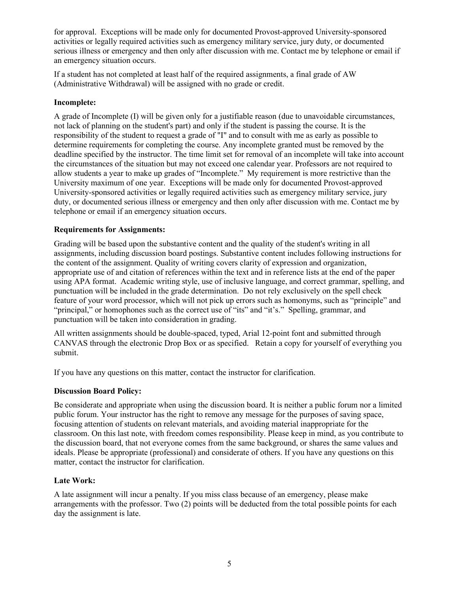for approval. Exceptions will be made only for documented Provost-approved University-sponsored activities or legally required activities such as emergency military service, jury duty, or documented serious illness or emergency and then only after discussion with me. Contact me by telephone or email if an emergency situation occurs.

If a student has not completed at least half of the required assignments, a final grade of AW (Administrative Withdrawal) will be assigned with no grade or credit.

## **Incomplete:**

A grade of Incomplete (I) will be given only for a justifiable reason (due to unavoidable circumstances, not lack of planning on the student's part) and only if the student is passing the course. It is the responsibility of the student to request a grade of "I" and to consult with me as early as possible to determine requirements for completing the course. Any incomplete granted must be removed by the deadline specified by the instructor. The time limit set for removal of an incomplete will take into account the circumstances of the situation but may not exceed one calendar year. Professors are not required to allow students a year to make up grades of "Incomplete." My requirement is more restrictive than the University maximum of one year. Exceptions will be made only for documented Provost-approved University-sponsored activities or legally required activities such as emergency military service, jury duty, or documented serious illness or emergency and then only after discussion with me. Contact me by telephone or email if an emergency situation occurs.

## **Requirements for Assignments:**

Grading will be based upon the substantive content and the quality of the student's writing in all assignments, including discussion board postings. Substantive content includes following instructions for the content of the assignment. Quality of writing covers clarity of expression and organization, appropriate use of and citation of references within the text and in reference lists at the end of the paper using APA format. Academic writing style, use of inclusive language, and correct grammar, spelling, and punctuation will be included in the grade determination. Do not rely exclusively on the spell check feature of your word processor, which will not pick up errors such as homonyms, such as "principle" and "principal," or homophones such as the correct use of "its" and "it's." Spelling, grammar, and punctuation will be taken into consideration in grading.

All written assignments should be double-spaced, typed, Arial 12-point font and submitted through CANVAS through the electronic Drop Box or as specified. Retain a copy for yourself of everything you submit.

If you have any questions on this matter, contact the instructor for clarification.

## **Discussion Board Policy:**

Be considerate and appropriate when using the discussion board. It is neither a public forum nor a limited public forum. Your instructor has the right to remove any message for the purposes of saving space, focusing attention of students on relevant materials, and avoiding material inappropriate for the classroom. On this last note, with freedom comes responsibility. Please keep in mind, as you contribute to the discussion board, that not everyone comes from the same background, or shares the same values and ideals. Please be appropriate (professional) and considerate of others. If you have any questions on this matter, contact the instructor for clarification.

## **Late Work:**

A late assignment will incur a penalty. If you miss class because of an emergency, please make arrangements with the professor. Two (2) points will be deducted from the total possible points for each day the assignment is late.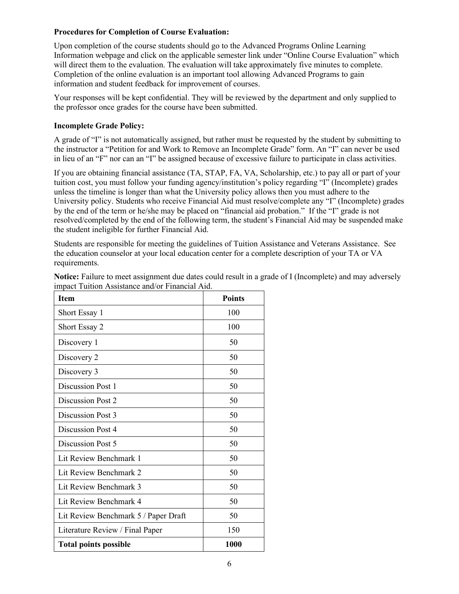## **Procedures for Completion of Course Evaluation:**

Upon completion of the course students should go to the Advanced Programs Online Learning Information webpage and click on the applicable semester link under "Online Course Evaluation" which will direct them to the evaluation. The evaluation will take approximately five minutes to complete. Completion of the online evaluation is an important tool allowing Advanced Programs to gain information and student feedback for improvement of courses.

Your responses will be kept confidential. They will be reviewed by the department and only supplied to the professor once grades for the course have been submitted.

## **Incomplete Grade Policy:**

A grade of "I" is not automatically assigned, but rather must be requested by the student by submitting to the instructor a "Petition for and Work to Remove an Incomplete Grade" form. An "I" can never be used in lieu of an "F" nor can an "I" be assigned because of excessive failure to participate in class activities.

If you are obtaining financial assistance (TA, STAP, FA, VA, Scholarship, etc.) to pay all or part of your tuition cost, you must follow your funding agency/institution's policy regarding "I" (Incomplete) grades unless the timeline is longer than what the University policy allows then you must adhere to the University policy. Students who receive Financial Aid must resolve/complete any "I" (Incomplete) grades by the end of the term or he/she may be placed on "financial aid probation." If the "I" grade is not resolved/completed by the end of the following term, the student's Financial Aid may be suspended make the student ineligible for further Financial Aid.

Students are responsible for meeting the guidelines of Tuition Assistance and Veterans Assistance. See the education counselor at your local education center for a complete description of your TA or VA requirements.

| <b>Item</b>                          | <b>Points</b> |
|--------------------------------------|---------------|
| Short Essay 1                        | 100           |
| Short Essay 2                        | 100           |
| Discovery 1                          | 50            |
| Discovery 2                          | 50            |
| Discovery 3                          | 50            |
| Discussion Post 1                    | 50            |
| Discussion Post 2                    | 50            |
| Discussion Post 3                    | 50            |
| Discussion Post 4                    | 50            |
| Discussion Post 5                    | 50            |
| Lit Review Benchmark 1               | 50            |
| Lit Review Benchmark 2               | 50            |
| Lit Review Benchmark 3               | 50            |
| Lit Review Benchmark 4               | 50            |
| Lit Review Benchmark 5 / Paper Draft | 50            |
| Literature Review / Final Paper      | 150           |
| <b>Total points possible</b>         | 1000          |

**Notice:** Failure to meet assignment due dates could result in a grade of I (Incomplete) and may adversely impact Tuition Assistance and/or Financial Aid.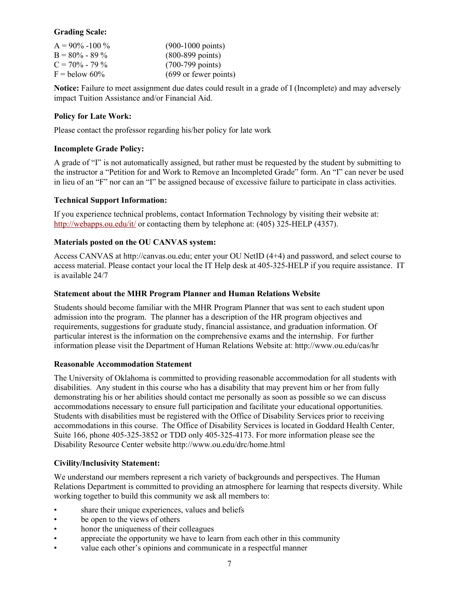## **Grading Scale:**

| $A = 90\% - 100\%$ | $(900-1000 \text{ points})$  |
|--------------------|------------------------------|
| $B = 80\% - 89\%$  | $(800 - 899 \text{ points})$ |
| $C = 70\% - 79\%$  | $(700-799 \text{ points})$   |
| $F =$ below 60%    | (699 or fewer points)        |

**Notice:** Failure to meet assignment due dates could result in a grade of I (Incomplete) and may adversely impact Tuition Assistance and/or Financial Aid.

## **Policy for Late Work:**

Please contact the professor regarding his/her policy for late work

## **Incomplete Grade Policy:**

A grade of "I" is not automatically assigned, but rather must be requested by the student by submitting to the instructor a "Petition for and Work to Remove an Incompleted Grade" form. An "I" can never be used in lieu of an "F" nor can an "I" be assigned because of excessive failure to participate in class activities.

## **Technical Support Information:**

If you experience technical problems, contact Information Technology by visiting their website at: <http://webapps.ou.edu/it/> or contacting them by telephone at: (405) 325-HELP (4357).

## **Materials posted on the OU CANVAS system:**

Access CANVAS at http://canvas.ou.edu; enter your OU NetID (4+4) and password, and select course to access material. Please contact your local the IT Help desk at 405-325-HELP if you require assistance. IT is available 24/7

## **Statement about the MHR Program Planner and Human Relations Website**

Students should become familiar with the MHR Program Planner that was sent to each student upon admission into the program. The planner has a description of the HR program objectives and requirements, suggestions for graduate study, financial assistance, and graduation information. Of particular interest is the information on the comprehensive exams and the internship. For further information please visit the Department of Human Relations Website at: http://www.ou.edu/cas/hr

## **Reasonable Accommodation Statement**

The University of Oklahoma is committed to providing reasonable accommodation for all students with disabilities. Any student in this course who has a disability that may prevent him or her from fully demonstrating his or her abilities should contact me personally as soon as possible so we can discuss accommodations necessary to ensure full participation and facilitate your educational opportunities. Students with disabilities must be registered with the Office of Disability Services prior to receiving accommodations in this course. The Office of Disability Services is located in Goddard Health Center, Suite 166, phone 405-325-3852 or TDD only 405-325-4173. For more information please see the Disability Resource Center website http://www.ou.edu/drc/home.html

## **Civility/Inclusivity Statement:**

We understand our members represent a rich variety of backgrounds and perspectives. The Human Relations Department is committed to providing an atmosphere for learning that respects diversity. While working together to build this community we ask all members to:

- share their unique experiences, values and beliefs
- be open to the views of others
- honor the uniqueness of their colleagues
- appreciate the opportunity we have to learn from each other in this community
- value each other's opinions and communicate in a respectful manner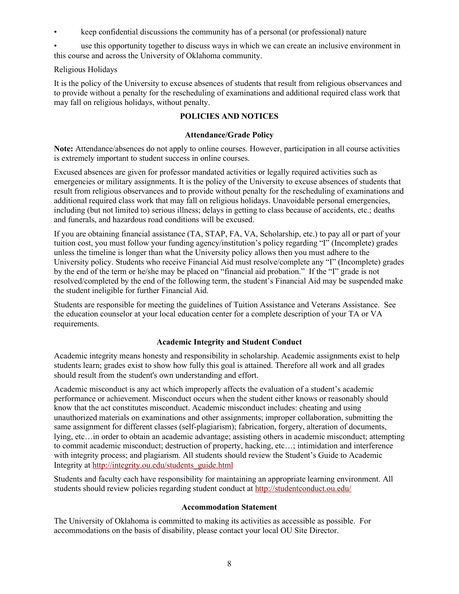• keep confidential discussions the community has of a personal (or professional) nature

use this opportunity together to discuss ways in which we can create an inclusive environment in this course and across the University of Oklahoma community.

# Religious Holidays

It is the policy of the University to excuse absences of students that result from religious observances and to provide without a penalty for the rescheduling of examinations and additional required class work that may fall on religious holidays, without penalty.

# **POLICIES AND NOTICES**

## **Attendance/Grade Policy**

**Note:** Attendance/absences do not apply to online courses. However, participation in all course activities is extremely important to student success in online courses.

Excused absences are given for professor mandated activities or legally required activities such as emergencies or military assignments. It is the policy of the University to excuse absences of students that result from religious observances and to provide without penalty for the rescheduling of examinations and additional required class work that may fall on religious holidays. Unavoidable personal emergencies, including (but not limited to) serious illness; delays in getting to class because of accidents, etc.; deaths and funerals, and hazardous road conditions will be excused.

If you are obtaining financial assistance (TA, STAP, FA, VA, Scholarship, etc.) to pay all or part of your tuition cost, you must follow your funding agency/institution's policy regarding "I" (Incomplete) grades unless the timeline is longer than what the University policy allows then you must adhere to the University policy. Students who receive Financial Aid must resolve/complete any "I" (Incomplete) grades by the end of the term or he/she may be placed on "financial aid probation." If the "I" grade is not resolved/completed by the end of the following term, the student's Financial Aid may be suspended make the student ineligible for further Financial Aid.

Students are responsible for meeting the guidelines of Tuition Assistance and Veterans Assistance. See the education counselor at your local education center for a complete description of your TA or VA requirements.

# **Academic Integrity and Student Conduct**

Academic integrity means honesty and responsibility in scholarship. Academic assignments exist to help students learn; grades exist to show how fully this goal is attained. Therefore all work and all grades should result from the student's own understanding and effort.

Academic misconduct is any act which improperly affects the evaluation of a student's academic performance or achievement. Misconduct occurs when the student either knows or reasonably should know that the act constitutes misconduct. Academic misconduct includes: cheating and using unauthorized materials on examinations and other assignments; improper collaboration, submitting the same assignment for different classes (self-plagiarism); fabrication, forgery, alteration of documents, lying, etc…in order to obtain an academic advantage; assisting others in academic misconduct; attempting to commit academic misconduct; destruction of property, hacking, etc…; intimidation and interference with integrity process; and plagiarism. All students should review the Student's Guide to Academic Integrity at [http://integrity.ou.edu/students\\_guide.html](http://integrity.ou.edu/students_guide.html)

Students and faculty each have responsibility for maintaining an appropriate learning environment. All students should review policies regarding student conduct at<http://studentconduct.ou.edu/>

## **Accommodation Statement**

The University of Oklahoma is committed to making its activities as accessible as possible. For accommodations on the basis of disability, please contact your local OU Site Director.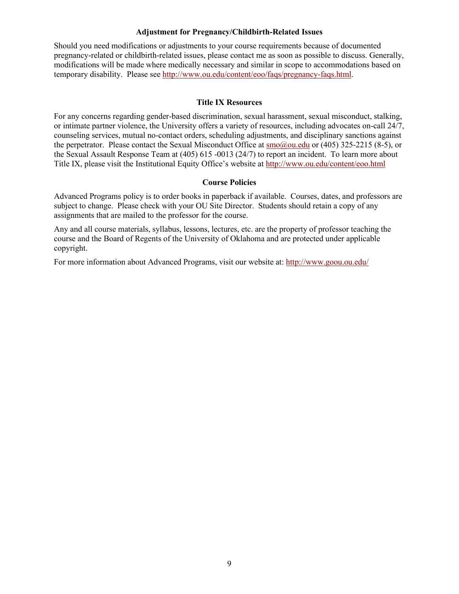#### **Adjustment for Pregnancy/Childbirth-Related Issues**

Should you need modifications or adjustments to your course requirements because of documented pregnancy-related or childbirth-related issues, please contact me as soon as possible to discuss. Generally, modifications will be made where medically necessary and similar in scope to accommodations based on temporary disability. Please see [http://www.ou.edu/content/eoo/faqs/pregnancy-faqs.html.](http://www.ou.edu/content/eoo/faqs/pregnancy-faqs.html)

#### **Title IX Resources**

For any concerns regarding gender-based discrimination, sexual harassment, sexual misconduct, stalking, or intimate partner violence, the University offers a variety of resources, including advocates on-call 24/7, counseling services, mutual no-contact orders, scheduling adjustments, and disciplinary sanctions against the perpetrator. Please contact the Sexual Misconduct Office at [smo@ou.edu](mailto:smo@ou.edu) or (405) 325-2215 (8-5), or the Sexual Assault Response Team at (405) 615 -0013 (24/7) to report an incident. To learn more about Title IX, please visit the Institutional Equity Office's website at<http://www.ou.edu/content/eoo.html>

#### **Course Policies**

Advanced Programs policy is to order books in paperback if available. Courses, dates, and professors are subject to change. Please check with your OU Site Director. Students should retain a copy of any assignments that are mailed to the professor for the course.

Any and all course materials, syllabus, lessons, lectures, etc. are the property of professor teaching the course and the Board of Regents of the University of Oklahoma and are protected under applicable copyright.

For more information about Advanced Programs, visit our website at:<http://www.goou.ou.edu/>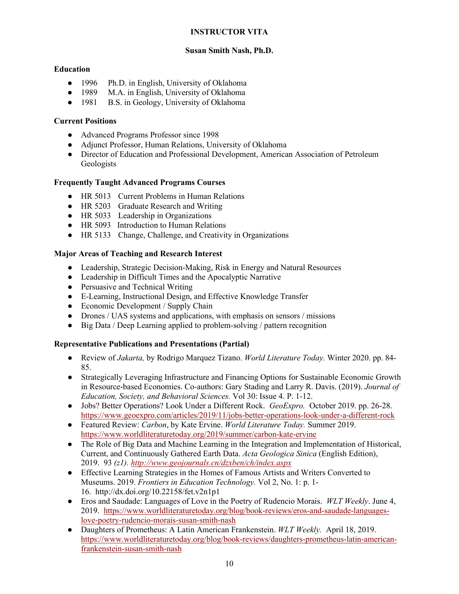# **INSTRUCTOR VITA**

# **Susan Smith Nash, Ph.D.**

# **Education**

- 1996 Ph.D. in English, University of Oklahoma
- 1989 M.A. in English, University of Oklahoma
- 1981 B.S. in Geology, University of Oklahoma

# **Current Positions**

- Advanced Programs Professor since 1998
- Adjunct Professor, Human Relations, University of Oklahoma
- Director of Education and Professional Development, American Association of Petroleum Geologists

## **Frequently Taught Advanced Programs Courses**

- HR 5013 Current Problems in Human Relations
- HR 5203 Graduate Research and Writing
- HR 5033 Leadership in Organizations
- HR 5093 Introduction to Human Relations
- HR 5133 Change, Challenge, and Creativity in Organizations

## **Major Areas of Teaching and Research Interest**

- Leadership, Strategic Decision-Making, Risk in Energy and Natural Resources
- Leadership in Difficult Times and the Apocalyptic Narrative
- Persuasive and Technical Writing
- E-Learning, Instructional Design, and Effective Knowledge Transfer
- Economic Development / Supply Chain
- Drones / UAS systems and applications, with emphasis on sensors / missions
- Big Data / Deep Learning applied to problem-solving / pattern recognition

## **Representative Publications and Presentations (Partial)**

- Review of *Jakarta,* by Rodrigo Marquez Tizano. *World Literature Today.* Winter 2020. pp. 84- 85.
- Strategically Leveraging Infrastructure and Financing Options for Sustainable Economic Growth in Resource-based Economies. Co-authors: Gary Stading and Larry R. Davis. (2019). *Journal of Education, Society, and Behavioral Sciences.* Vol 30: Issue 4. P. 1-12.
- Jobs? Better Operations? Look Under a Different Rock. *GeoExpro.* October 2019. pp. 26-28. <https://www.geoexpro.com/articles/2019/11/jobs-better-operations-look-under-a-different-rock>
- Featured Review: *Carbon*, by Kate Ervine. *World Literature Today.* Summer 2019. <https://www.worldliteraturetoday.org/2019/summer/carbon-kate-ervine>
- The Role of Big Data and Machine Learning in the Integration and Implementation of Historical, Current, and Continuously Gathered Earth Data. *Acta Geologica Sinica* (English Edition), 2019. 93 *(z1).<http://www.geojournals.cn/dzxben/ch/index.aspx>*
- Effective Learning Strategies in the Homes of Famous Artists and Writers Converted to Museums. 2019. *Frontiers in Education Technology.* Vol 2, No. 1: p. 1- 16. http://dx.doi.org/10.22158/fet.v2n1p1
- Eros and Saudade: Languages of Love in the Poetry of Rudencio Morais. *WLT Weekly*. June 4, 2019. [https://www.worldliteraturetoday.org/blog/book-reviews/eros-and-saudade-languages](https://www.worldliteraturetoday.org/blog/book-reviews/eros-and-saudade-languages-love-poetry-rudencio-morais-susan-smith-nash)[love-poetry-rudencio-morais-susan-smith-nash](https://www.worldliteraturetoday.org/blog/book-reviews/eros-and-saudade-languages-love-poetry-rudencio-morais-susan-smith-nash)
- Daughters of Prometheus: A Latin American Frankenstein. *WLT Weekly.* April 18, 2019. [https://www.worldliteraturetoday.org/blog/book-reviews/daughters-prometheus-latin-american](https://www.worldliteraturetoday.org/blog/book-reviews/daughters-prometheus-latin-american-frankenstein-susan-smith-nash)[frankenstein-susan-smith-nash](https://www.worldliteraturetoday.org/blog/book-reviews/daughters-prometheus-latin-american-frankenstein-susan-smith-nash)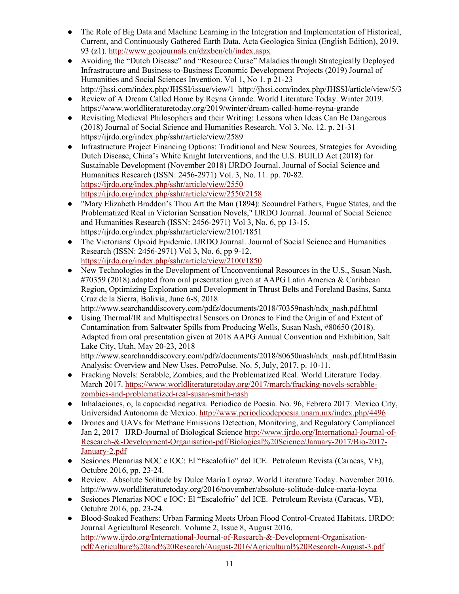- The Role of Big Data and Machine Learning in the Integration and Implementation of Historical, Current, and Continuously Gathered Earth Data. Acta Geologica Sinica (English Edition), 2019. 93 (z1).<http://www.geojournals.cn/dzxben/ch/index.aspx>
- Avoiding the "Dutch Disease" and "Resource Curse" Maladies through Strategically Deployed Infrastructure and Business-to-Business Economic Development Projects (2019) Journal of Humanities and Social Sciences Invention. Vol 1, No 1. p 21-23 http://jhssi.com/index.php/JHSSI/issue/view/1 http://jhssi.com/index.php/JHSSI/article/view/5/3
- Review of A Dream Called Home by Reyna Grande. World Literature Today. Winter 2019. https://www.worldliteraturetoday.org/2019/winter/dream-called-home-reyna-grande
- Revisiting Medieval Philosophers and their Writing: Lessons when Ideas Can Be Dangerous (2018) Journal of Social Science and Humanities Research. Vol 3, No. 12. p. 21-31 https://ijrdo.org/index.php/sshr/article/view/2589
- Infrastructure Project Financing Options: Traditional and New Sources, Strategies for Avoiding Dutch Disease, China's White Knight Interventions, and the U.S. BUILD Act (2018) for Sustainable Development (November 2018) IJRDO Journal. Journal of Social Science and Humanities Research (ISSN: 2456-2971) Vol. 3, No. 11. pp. 70-82. <https://ijrdo.org/index.php/sshr/article/view/2550> <https://ijrdo.org/index.php/sshr/article/view/2550/2158>
- "Mary Elizabeth Braddon's Thou Art the Man (1894): Scoundrel Fathers, Fugue States, and the Problematized Real in Victorian Sensation Novels," IJRDO Journal. Journal of Social Science and Humanities Research (ISSN: 2456-2971) Vol 3, No. 6, pp 13-15. https://ijrdo.org/index.php/sshr/article/view/2101/1851
- The Victorians' Opioid Epidemic. IJRDO Journal. Journal of Social Science and Humanities Research (ISSN: 2456-2971) Vol 3, No. 6, pp 9-12. <https://ijrdo.org/index.php/sshr/article/view/2100/1850>
- New Technologies in the Development of Unconventional Resources in the U.S., Susan Nash, #70359 (2018).adapted from oral presentation given at AAPG Latin America & Caribbean Region, Optimizing Exploration and Development in Thrust Belts and Foreland Basins, Santa Cruz de la Sierra, Bolivia, June 6-8, 2018

http://www.searchanddiscovery.com/pdfz/documents/2018/70359nash/ndx\_nash.pdf.html ● Using Thermal/IR and Multispectral Sensors on Drones to Find the Origin of and Extent of

Contamination from Saltwater Spills from Producing Wells, Susan Nash, #80650 (2018). Adapted from oral presentation given at 2018 AAPG Annual Convention and Exhibition, Salt Lake City, Utah, May 20-23, 2018

http://www.searchanddiscovery.com/pdfz/documents/2018/80650nash/ndx\_nash.pdf.htmlBasin Analysis: Overview and New Uses. PetroPulse. No. 5, July, 2017, p. 10-11.

- Fracking Novels: Scrabble, Zombies, and the Problematized Real. World Literature Today. March 2017. [https://www.worldliteraturetoday.org/2017/march/fracking-novels-scrabble](https://www.worldliteraturetoday.org/2017/march/fracking-novels-scrabble-zombies-and-problematized-real-susan-smith-nash)[zombies-and-problematized-real-susan-smith-nash](https://www.worldliteraturetoday.org/2017/march/fracking-novels-scrabble-zombies-and-problematized-real-susan-smith-nash)
- Inhalaciones, o, la capacidad negativa. Periodico de Poesia. No. 96, Febrero 2017. Mexico City, Universidad Autonoma de Mexico.<http://www.periodicodepoesia.unam.mx/index.php/4496>
- Drones and UAVs for Methane Emissions Detection, Monitoring, and Regulatory Compliancel Jan 2, 2017 IJRD-Journal of Biological Science [http://www.ijrdo.org/International-Journal-of-](http://www.ijrdo.org/International-Journal-of-Research-&-Development-Organisation-pdf/Biological%20Science/January-2017/Bio-2017-January-2.pdf)[Research-&-Development-Organisation-pdf/Biological%20Science/January-2017/Bio-2017-](http://www.ijrdo.org/International-Journal-of-Research-&-Development-Organisation-pdf/Biological%20Science/January-2017/Bio-2017-January-2.pdf) [January-2.pdf](http://www.ijrdo.org/International-Journal-of-Research-&-Development-Organisation-pdf/Biological%20Science/January-2017/Bio-2017-January-2.pdf)
- Sesiones Plenarias NOC e IOC: El "Escalofrio" del ICE. Petroleum Revista (Caracas, VE), Octubre 2016, pp. 23-24.
- Review. Absolute Solitude by Dulce María Loynaz. World Literature Today. November 2016. http://www.worldliteraturetoday.org/2016/november/absolute-solitude-dulce-maria-loyna
- Sesiones Plenarias NOC e IOC: El "Escalofrio" del ICE. Petroleum Revista (Caracas, VE), Octubre 2016, pp. 23-24.
- Blood-Soaked Feathers: Urban Farming Meets Urban Flood Control-Created Habitats. IJRDO: Journal Agricultural Research. Volume 2, Issue 8, August 2016. [http://www.ijrdo.org/International-Journal-of-Research-&-Development-Organisation](http://www.ijrdo.org/International-Journal-of-Research-&-Development-Organisation-pdf/Agriculture%20and%20Research/August-2016/Agricultural%20Research-August-3.pdf)[pdf/Agriculture%20and%20Research/August-2016/Agricultural%20Research-August-3.pdf](http://www.ijrdo.org/International-Journal-of-Research-&-Development-Organisation-pdf/Agriculture%20and%20Research/August-2016/Agricultural%20Research-August-3.pdf)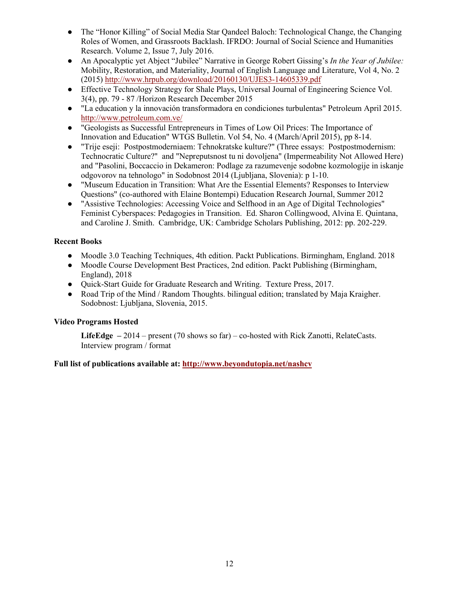- The "Honor Killing" of Social Media Star Qandeel Baloch: Technological Change, the Changing Roles of Women, and Grassroots Backlash. IFRDO: Journal of Social Science and Humanities Research. Volume 2, Issue 7, July 2016.
- An Apocalyptic yet Abject "Jubilee" Narrative in George Robert Gissing's *In the Year of Jubilee:* Mobility, Restoration, and Materiality, Journal of English Language and Literature, Vol 4, No. 2 (2015)<http://www.hrpub.org/download/20160130/UJES3-14605339.pdf>
- Effective Technology Strategy for Shale Plays, Universal Journal of Engineering Science Vol. 3(4), pp. 79 - 87 /Horizon Research December 2015
- "La education y la innovación transformadora en condiciones turbulentas" Petroleum April 2015. <http://www.petroleum.com.ve/>
- "Geologists as Successful Entrepreneurs in Times of Low Oil Prices: The Importance of Innovation and Education" WTGS Bulletin. Vol 54, No. 4 (March/April 2015), pp 8-14.
- "Trije eseji: Postpostmoderniaem: Tehnokratske kulture?" (Three essays: Postpostmodernism: Technocratic Culture?" and "Nepreputsnost tu ni dovoljena" (Impermeability Not Allowed Here) and "Pasolini, Boccaccio in Dekameron: Podlage za razumevenje sodobne kozmologije in iskanje odgovorov na tehnologo" in Sodobnost 2014 (Ljubljana, Slovenia): p 1-10.
- "Museum Education in Transition: What Are the Essential Elements? Responses to Interview Questions" (co-authored with Elaine Bontempi) Education Research Journal, Summer 2012
- "Assistive Technologies: Accessing Voice and Selfhood in an Age of Digital Technologies" Feminist Cyberspaces: Pedagogies in Transition. Ed. Sharon Collingwood, Alvina E. Quintana, and Caroline J. Smith. Cambridge, UK: Cambridge Scholars Publishing, 2012: pp. 202-229.

# **Recent Books**

- Moodle 3.0 Teaching Techniques, 4th edition. Packt Publications. Birmingham, England. 2018
- Moodle Course Development Best Practices, 2nd edition. Packt Publishing (Birmingham, England), 2018
- Quick-Start Guide for Graduate Research and Writing. Texture Press, 2017.
- Road Trip of the Mind / Random Thoughts. bilingual edition; translated by Maja Kraigher. Sodobnost: Ljubljana, Slovenia, 2015.

# **Video Programs Hosted**

**LifeEdge –** 2014 – present (70 shows so far) – co-hosted with Rick Zanotti, RelateCasts. Interview program / format

**Full list of publications available at:<http://www.beyondutopia.net/nashcv>**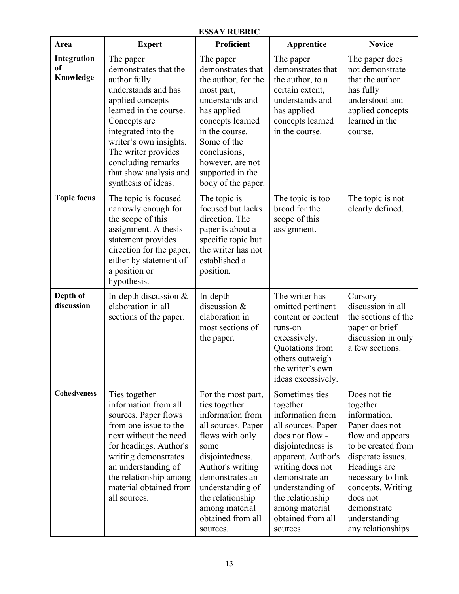| <b>ESSAY RUBRIC</b>                       |                                                                                                                                                                                                                                                                                        |                                                                                                                                                                                                                                                               |                                                                                                                                                                                                                                                                     |                                                                                                                                                                                                                                                      |  |  |
|-------------------------------------------|----------------------------------------------------------------------------------------------------------------------------------------------------------------------------------------------------------------------------------------------------------------------------------------|---------------------------------------------------------------------------------------------------------------------------------------------------------------------------------------------------------------------------------------------------------------|---------------------------------------------------------------------------------------------------------------------------------------------------------------------------------------------------------------------------------------------------------------------|------------------------------------------------------------------------------------------------------------------------------------------------------------------------------------------------------------------------------------------------------|--|--|
| Area                                      | <b>Expert</b>                                                                                                                                                                                                                                                                          | Proficient                                                                                                                                                                                                                                                    | Apprentice                                                                                                                                                                                                                                                          | <b>Novice</b>                                                                                                                                                                                                                                        |  |  |
| Integration<br><sub>of</sub><br>Knowledge | The paper<br>demonstrates that the<br>author fully<br>understands and has<br>applied concepts<br>learned in the course.<br>Concepts are<br>integrated into the<br>writer's own insights.<br>The writer provides<br>concluding remarks<br>that show analysis and<br>synthesis of ideas. | The paper<br>demonstrates that<br>the author, for the<br>most part,<br>understands and<br>has applied<br>concepts learned<br>in the course.<br>Some of the<br>conclusions,<br>however, are not<br>supported in the<br>body of the paper.                      | The paper<br>demonstrates that<br>the author, to a<br>certain extent,<br>understands and<br>has applied<br>concepts learned<br>in the course.                                                                                                                       | The paper does<br>not demonstrate<br>that the author<br>has fully<br>understood and<br>applied concepts<br>learned in the<br>course.                                                                                                                 |  |  |
| <b>Topic focus</b>                        | The topic is focused<br>narrowly enough for<br>the scope of this<br>assignment. A thesis<br>statement provides<br>direction for the paper,<br>either by statement of<br>a position or<br>hypothesis.                                                                                   | The topic is<br>focused but lacks<br>direction. The<br>paper is about a<br>specific topic but<br>the writer has not<br>established a<br>position.                                                                                                             | The topic is too<br>broad for the<br>scope of this<br>assignment.                                                                                                                                                                                                   | The topic is not<br>clearly defined.                                                                                                                                                                                                                 |  |  |
| Depth of<br>discussion                    | In-depth discussion &<br>elaboration in all<br>sections of the paper.                                                                                                                                                                                                                  | In-depth<br>discussion &<br>elaboration in<br>most sections of<br>the paper.                                                                                                                                                                                  | The writer has<br>omitted pertinent<br>content or content<br>runs-on<br>excessively.<br>Quotations from<br>others outweigh<br>the writer's own<br>ideas excessively.                                                                                                | Cursory<br>discussion in all<br>the sections of the<br>paper or brief<br>discussion in only<br>a few sections.                                                                                                                                       |  |  |
| <b>Cohesiveness</b>                       | Ties together<br>information from all<br>sources. Paper flows<br>from one issue to the<br>next without the need<br>for headings. Author's<br>writing demonstrates<br>an understanding of<br>the relationship among<br>material obtained from<br>all sources.                           | For the most part,<br>ties together<br>information from<br>all sources. Paper<br>flows with only<br>some<br>disjointedness.<br>Author's writing<br>demonstrates an<br>understanding of<br>the relationship<br>among material<br>obtained from all<br>sources. | Sometimes ties<br>together<br>information from<br>all sources. Paper<br>does not flow -<br>disjointedness is<br>apparent. Author's<br>writing does not<br>demonstrate an<br>understanding of<br>the relationship<br>among material<br>obtained from all<br>sources. | Does not tie<br>together<br>information.<br>Paper does not<br>flow and appears<br>to be created from<br>disparate issues.<br>Headings are<br>necessary to link<br>concepts. Writing<br>does not<br>demonstrate<br>understanding<br>any relationships |  |  |